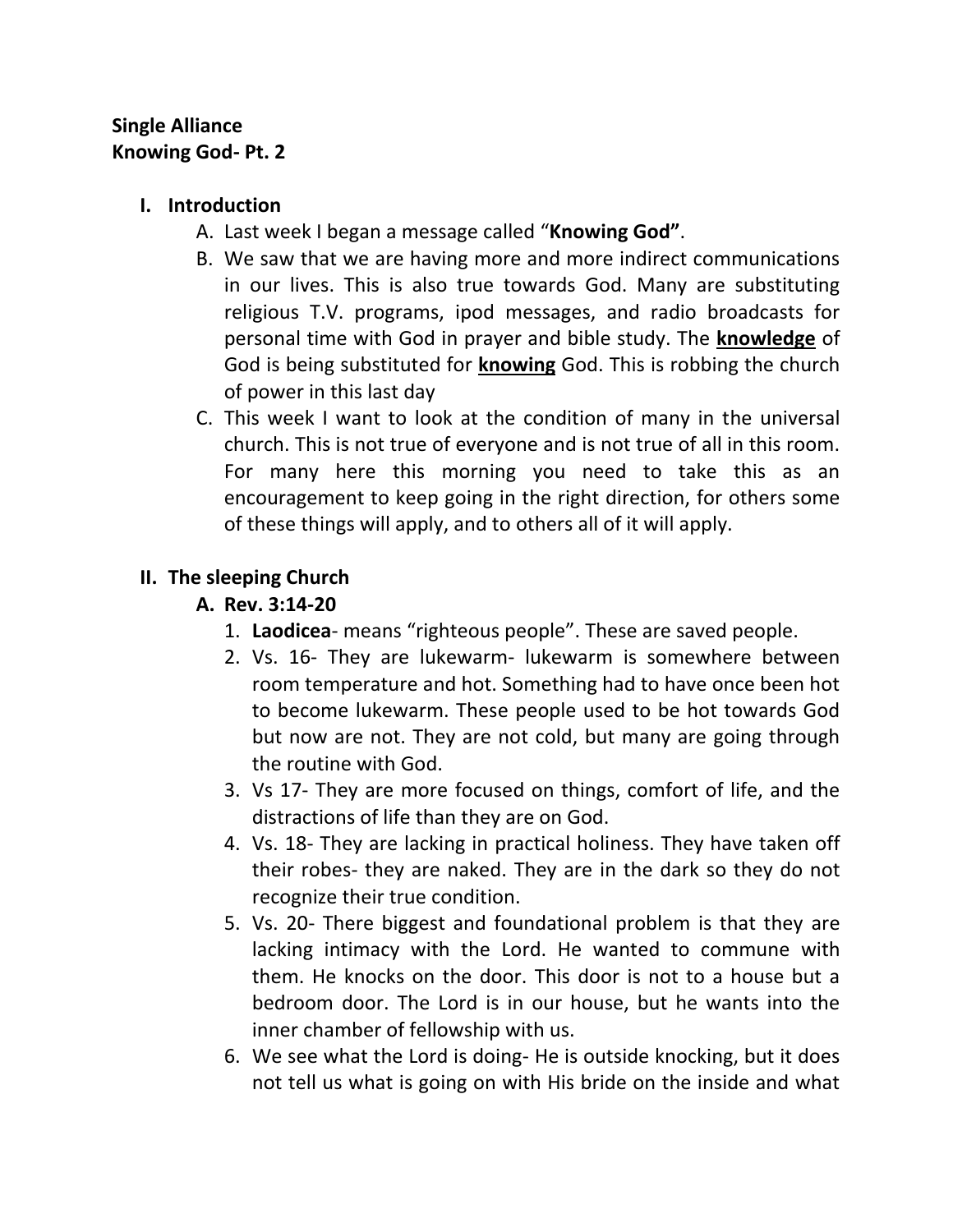## **Single Alliance Knowing God- Pt. 2**

### **I. Introduction**

- A. Last week I began a message called "**Knowing God"**.
- B. We saw that we are having more and more indirect communications in our lives. This is also true towards God. Many are substituting religious T.V. programs, ipod messages, and radio broadcasts for personal time with God in prayer and bible study. The **knowledge** of God is being substituted for **knowing** God. This is robbing the church of power in this last day
- C. This week I want to look at the condition of many in the universal church. This is not true of everyone and is not true of all in this room. For many here this morning you need to take this as an encouragement to keep going in the right direction, for others some of these things will apply, and to others all of it will apply.

## **II. The sleeping Church**

#### **A. Rev. 3:14-20**

- 1. **Laodicea** means "righteous people". These are saved people.
- 2. Vs. 16- They are lukewarm- lukewarm is somewhere between room temperature and hot. Something had to have once been hot to become lukewarm. These people used to be hot towards God but now are not. They are not cold, but many are going through the routine with God.
- 3. Vs 17- They are more focused on things, comfort of life, and the distractions of life than they are on God.
- 4. Vs. 18- They are lacking in practical holiness. They have taken off their robes- they are naked. They are in the dark so they do not recognize their true condition.
- 5. Vs. 20- There biggest and foundational problem is that they are lacking intimacy with the Lord. He wanted to commune with them. He knocks on the door. This door is not to a house but a bedroom door. The Lord is in our house, but he wants into the inner chamber of fellowship with us.
- 6. We see what the Lord is doing- He is outside knocking, but it does not tell us what is going on with His bride on the inside and what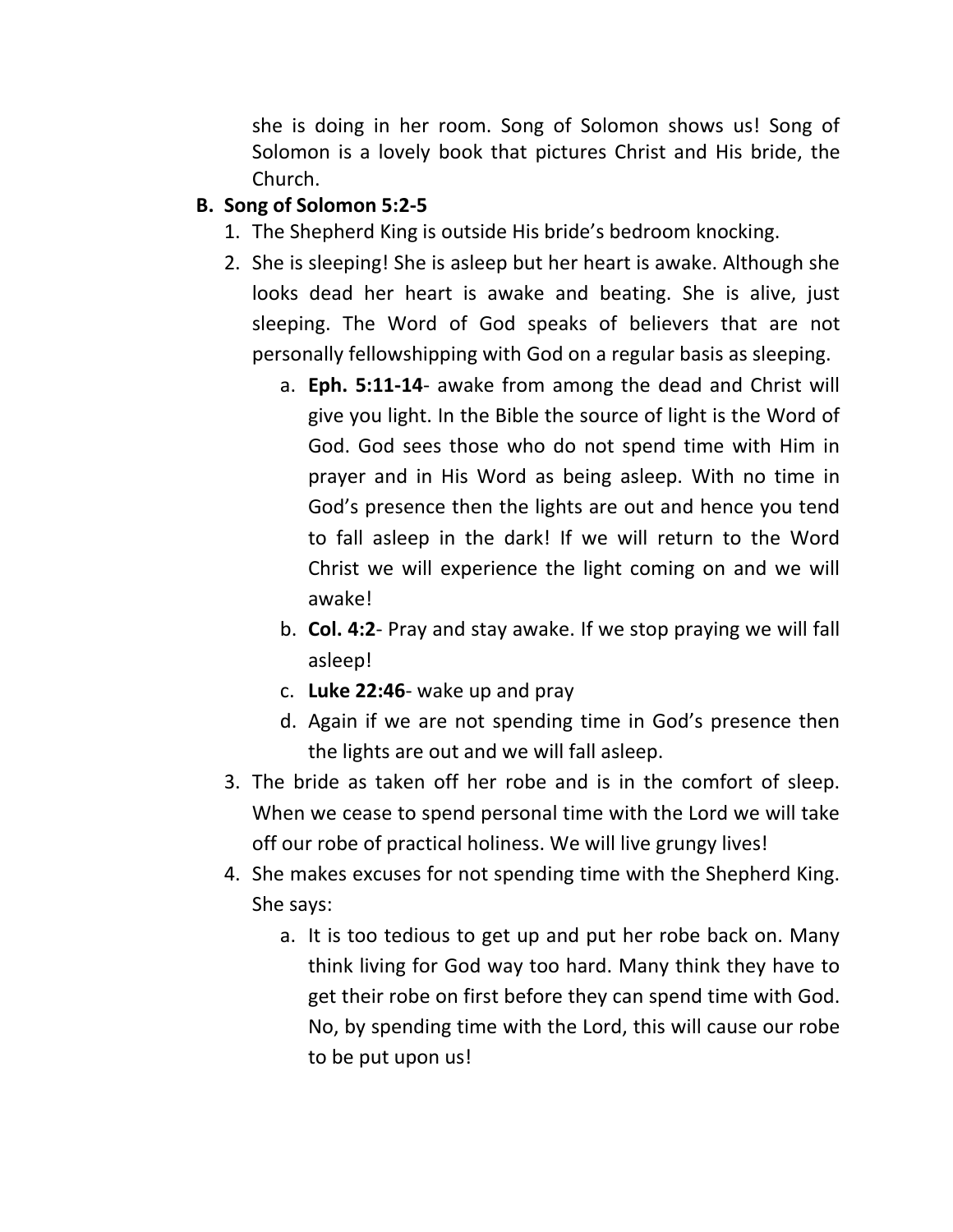she is doing in her room. Song of Solomon shows us! Song of Solomon is a lovely book that pictures Christ and His bride, the Church.

# **B. Song of Solomon 5:2-5**

- 1. The Shepherd King is outside His bride's bedroom knocking.
- 2. She is sleeping! She is asleep but her heart is awake. Although she looks dead her heart is awake and beating. She is alive, just sleeping. The Word of God speaks of believers that are not personally fellowshipping with God on a regular basis as sleeping.
	- a. **Eph. 5:11-14** awake from among the dead and Christ will give you light. In the Bible the source of light is the Word of God. God sees those who do not spend time with Him in prayer and in His Word as being asleep. With no time in God's presence then the lights are out and hence you tend to fall asleep in the dark! If we will return to the Word Christ we will experience the light coming on and we will awake!
	- b. **Col. 4:2** Pray and stay awake. If we stop praying we will fall asleep!
	- c. **Luke 22:46** wake up and pray
	- d. Again if we are not spending time in God's presence then the lights are out and we will fall asleep.
- 3. The bride as taken off her robe and is in the comfort of sleep. When we cease to spend personal time with the Lord we will take off our robe of practical holiness. We will live grungy lives!
- 4. She makes excuses for not spending time with the Shepherd King. She says:
	- a. It is too tedious to get up and put her robe back on. Many think living for God way too hard. Many think they have to get their robe on first before they can spend time with God. No, by spending time with the Lord, this will cause our robe to be put upon us!